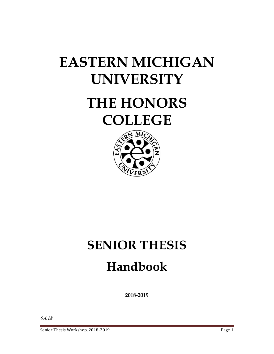# **EASTERN MICHIGAN UNIVERSITY**

# **THE HONORS COLLEGE**



# **SENIOR THESIS Handbook**

**2018-2019**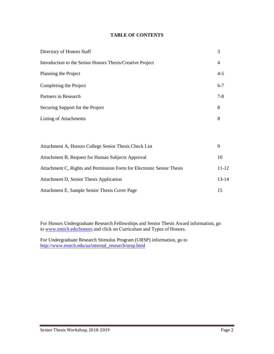# **TABLE OF CONTENTS**

| Directory of Honors Staff                                 | 3       |
|-----------------------------------------------------------|---------|
| Introduction to the Senior Honors Thesis/Creative Project | 4       |
| Planning the Project                                      | $4 - 5$ |
| Completing the Project                                    | $6 - 7$ |
| Partners in Research                                      | $7-8$   |
| Securing Support for the Project                          | 8       |
| <b>Listing of Attachments</b>                             | 8       |
|                                                           |         |

| Attachment A, Honors College Senior Thesis Check List                 | 9         |
|-----------------------------------------------------------------------|-----------|
| Attachment B, Request for Human Subjects Approval                     | 10        |
| Attachment C, Rights and Permission Form for Electronic Senior Thesis | $11 - 12$ |
| Attachment D, Senior Thesis Application                               | $13 - 14$ |
| Attachment E, Sample Senior Thesis Cover Page                         | 15        |

For Honors Undergraduate Research Fellowships and Senior Thesis Award information, go to www.emich.edu/honors and click on Curriculum and Types of Honors.

For Undergraduate Research Stimulus Program (URSP) information, go to http://www.emich.edu/aa/internal\_research/ursp.html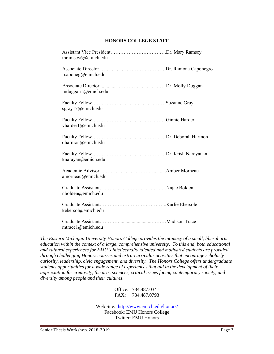# **HONORS COLLEGE STAFF**

| mramsey6@emich.edu |  |
|--------------------|--|
| rcaponeg@emich.edu |  |
| mduggan1@emich.edu |  |
| sgray17@emich.edu  |  |
| vharder1@emich.edu |  |
| dharmon@emich.edu  |  |
| knarayan@emich.edu |  |
| amorneau@emich.edu |  |
| nbolden@emich.edu  |  |
| kebersol@emich.edu |  |
| mtrace1@emich.edu  |  |

*The Eastern Michigan University Honors College provides the intimacy of a small, liberal arts education within the context of a large, comprehensive university. To this end, both educational and cultural experiences for EMU's intellectually talented and motivated students are provided through challenging Honors courses and extra-curricular activities that encourage scholarly curiosity, leadership, civic engagement, and diversity. The Honors College offers undergraduate students opportunities for a wide range of experiences that aid in the development of their appreciation for creativity, the arts, sciences, critical issues facing contemporary society, and diversity among people and their cultures.* 

> Office: 734.487.0341 FAX: 734.487.0793

Web Site: http://www.emich.edu/honors/ Facebook: EMU Honors College Twitter: EMU Honors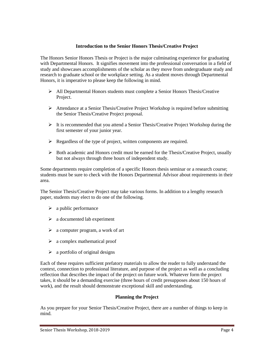# **Introduction to the Senior Honors Thesis/Creative Project**

The Honors Senior Honors Thesis or Project is the major culminating experience for graduating with Departmental Honors. It signifies movement into the professional conversation in a field of study and showcases accomplishments of the scholar as they move from undergraduate study and research to graduate school or the workplace setting. As a student moves through Departmental Honors, it is imperative to please keep the following in mind.

- $\triangleright$  All Departmental Honors students must complete a Senior Honors Thesis/Creative Project.
- Attendance at a Senior Thesis/Creative Project Workshop is required before submitting the Senior Thesis/Creative Project proposal.
- $\triangleright$  It is recommended that you attend a Senior Thesis/Creative Project Workshop during the first semester of your junior year.
- $\triangleright$  Regardless of the type of project, written components are required.
- Both academic and Honors credit must be earned for the Thesis/Creative Project, usually but not always through three hours of independent study.

Some departments require completion of a specific Honors thesis seminar or a research course; students must be sure to check with the Honors Departmental Advisor about requirements in their area.

The Senior Thesis/Creative Project may take various forms. In addition to a lengthy research paper, students may elect to do one of the following.

- $\triangleright$  a public performance
- $\triangleright$  a documented lab experiment
- $\triangleright$  a computer program, a work of art
- $\triangleright$  a complex mathematical proof
- $\triangleright$  a portfolio of original designs

Each of these requires sufficient prefatory materials to allow the reader to fully understand the context, connection to professional literature, and purpose of the project as well as a concluding reflection that describes the impact of the project on future work. Whatever form the project takes, it should be a demanding exercise (three hours of credit presupposes about 150 hours of work), and the result should demonstrate exceptional skill and understanding.

### **Planning the Project**

As you prepare for your Senior Thesis/Creative Project, there are a number of things to keep in mind.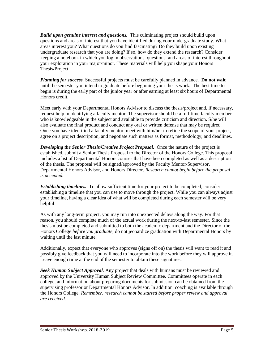*Build upon genuine interest and questions.* This culminating project should build upon questions and areas of interest that you have identified during your undergraduate study. What areas interest you? What questions do you find fascinating? Do they build upon existing undergraduate research that you are doing? If so, how do they extend the research? Consider keeping a notebook in which you log in observations, questions, and areas of interest throughout your exploration in your major/minor. These materials will help you shape your Honors Thesis/Project.

*Planning for success.* Successful projects must be carefully planned in advance. **Do not wait** until the semester you intend to graduate before beginning your thesis work. The best time to begin is during the early part of the junior year or after earning at least six hours of Departmental Honors credit.

Meet early with your Departmental Honors Advisor to discuss the thesis/project and, if necessary, request help in identifying a faculty mentor. The supervisor should be a full-time faculty member who is knowledgeable in the subject and available to provide criticism and direction. S/he will also evaluate the final product and conduct any oral or written defense that may be required. Once you have identified a faculty mentor, meet with him/her to refine the scope of your project, agree on a project description, and negotiate such matters as format, methodology, and deadlines.

**Developing the Senior Thesis/Creative Project Proposal.** Once the nature of the project is established, submit a Senior Thesis Proposal to the Director of the Honors College. This proposal includes a list of Departmental Honors courses that have been completed as well as a description of the thesis. The proposal will be signed/approved by the Faculty Mentor/Supervisor, Departmental Honors Advisor, and Honors Director. *Research cannot begin before the proposal is accepted.* 

*Establishing timelines.* To allow sufficient time for your project to be completed, consider establishing a timeline that you can use to move through the project. While you can always adjust your timeline, having a clear idea of what will be completed during each semester will be very helpful.

As with any long-term project, you may run into unexpected delays along the way. For that reason, you should complete much of the actual work during the next-to-last semester. Since the thesis must be completed and submitted to both the academic department and the Director of the Honors College *before you graduate*, do not jeopardize graduation with Departmental Honors by waiting until the last minute.

Additionally, expect that everyone who approves (signs off on) the thesis will want to read it and possibly give feedback that you will need to incorporate into the work before they will approve it. Leave enough time at the end of the semester to obtain these signatures.

*Seek Human Subject Approval.* Any project that deals with humans must be reviewed and approved by the University Human Subject Review Committee. Committees operate in each college, and information about preparing documents for submission can be obtained from the supervising professor or Departmental Honors Advisor. In addition, coaching is available through the Honors College. *Remember, research cannot be started before proper review and approval are received.*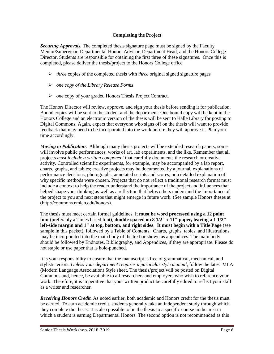# **Completing the Project**

*Securing Approvals.* The completed thesis signature page must be signed by the Faculty Mentor/Supervisor, Departmental Honors Advisor, Department Head, and the Honors College Director. Students are responsible for obtaining the first three of these signatures. Once this is completed, please deliver the thesis/project to the Honors College office

- $\triangleright$  *three* copies of the completed thesis with *three* original signed signature pages
- *one copy of the Library Release Forms*
- *one* copy of your graded Honors Thesis Project Contract.

The Honors Director will review, approve, and sign your thesis before sending it for publication. Bound copies will be sent to the student and the department. One bound copy will be kept in the Honors College and an electronic version of the thesis will be sent to Halle Library for posting to Digital Commons. Again, expect that everyone who signs off on the thesis will want to provide feedback that may need to be incorporated into the work before they will approve it. Plan your time accordingly.

*Moving to Publication.* Although many thesis projects will be extended research papers, some will involve public performances, works of art, lab experiments, and the like. Remember that all projects *must include a written component* that carefully documents the research or creative activity. Controlled scientific experiments, for example, may be accompanied by a lab report, charts, graphs, and tables; creative projects may be documented by a journal, explanations of performance decisions, photographs, annotated scripts and scores, or a detailed explanation of why specific methods were chosen. Projects that do not reflect a traditional research format must include a context to help the reader understand the importance of the project and influences that helped shape your thinking as well as a reflection that helps others understand the importance of the project to you and next steps that might emerge in future work. (See sample Honors theses at (http://commons.emich.edu/honors).

The thesis must meet certain formal guidelines. It **must be word processed using a 12 point font** (preferably a Times based font), **double-spaced on 8 1/2" x 11" paper, leaving a 1 1/2" left-side margin and 1" at top, bottom, and right sides**. **It must begin with a Title Page** (see sample in this packet), followed by a Table of Contents. Charts, graphs, tables, and illustrations may be incorporated into the main body of the text or shown as appendices. The main body should be followed by Endnotes, Bibliography, and Appendices, if they are appropriate. Please do not staple or use paper that is hole-punched.

It is your responsibility to ensure that the manuscript is free of grammatical, mechanical, and stylistic errors. *Unless your department requires a particular style manual*, follow the latest MLA (Modern Language Association) Style sheet. The thesis/project will be posted on Digital Commons and, hence, be available to all researchers and employers who wish to reference your work. Therefore, it is imperative that your written product be carefully edited to reflect your skill as a writer and researcher.

*Receiving Honors Credit.* As noted earlier, both academic and Honors credit for the thesis must be earned. To earn academic credit, students generally take an independent study through which they complete the thesis. It is also possible to tie the thesis to a specific course in the area in which a student is earning Departmental Honors. The second option is not recommended as this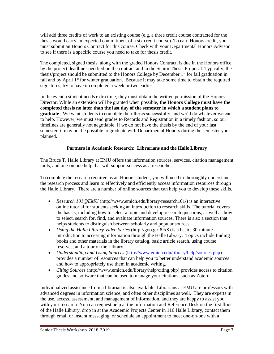will add three credits of work to an existing course (e.g. a three credit course contracted for the thesis would carry an expected commitment of a six credit course). To earn Honors credit, you must submit an Honors Contract for this course. Check with your Departmental Honors Advisor to see if there is a specific course you need to take for thesis credit.

The completed, signed thesis, along with the graded Honors Contract, is due in the Honors office by the project deadline specified on the contract and in the Senior Thesis Proposal. Typically, the thesis/project should be submitted to the Honors College by December 1<sup>st</sup> for fall graduation in fall and by April  $1<sup>st</sup>$  for winter graduation. Because it may take some time to obtain the required signatures, try to have it completed a week or two earlier.

In the event a student needs extra time, they must obtain the written permission of the Honors Director. While an extension will be granted when possible, **the Honors College must have the completed thesis no later than the last day of the semester in which a student plans to graduate**. We want students to complete their thesis successfully, and we'll do whatever we can to help. However, we must send grades to Records and Registration in a timely fashion, so our timelines are generally not negotiable. If we do not have the thesis by the end of your last semester, it may not be possible to graduate with Departmental Honors during the semester you planned.

# **Partners in Academic Research: Librarians and the Halle Library**

The Bruce T. Halle Library at EMU offers the information sources, services, citation management tools, and one-on one help that will support success as a researcher.

To complete the research required as an Honors student, you will need to thoroughly understand the research process and learn to effectively and efficiently access information resources through the Halle Library. There are a number of online sources that can help you to develop these skills.

- *Research 101@EMU* (http://www.emich.edu/library/research101/) is an interactive online tutorial for students seeking an introduction to research skills. The tutorial covers the basics, including how to select a topic and develop research questions, as well as how to select, search for, find, and evaluate information sources. There is also a section that helps students to distinguish between scholarly and popular sources.
- *Using the Halle Library Video Series* (http://goo.gl/f8fxS) is a basic, 30-minute introduction to accessing information through the Halle Library. Topics include finding books and other materials in the library catalog, basic article search, using course reserves, and a tour of the Library.
- *Understanding and Using Sources* (http://www.emich.edu/library/help/sources.php) provides a number of resources that can help you to better understand academic sources and how to appropriately use them in academic writing.
- *Citing Sources* (http://www.emich.edu/library/help/citing.php) provides access to citation guides and software that can be used to manage your citations, such as Zotero.

Individualized assistance from a librarian is also available. Librarians at EMU are professors with advanced degrees in information science, and often other disciplines as well. They are experts in the use, access, assessment, and management of information, and they are happy to assist you with your research. You can request help at the Information and Reference Desk on the first floor of the Halle Library, drop in at the Academic Projects Center in 116 Halle Library, contact them through email or instant messaging, or schedule an appointment to meet one-on-one with a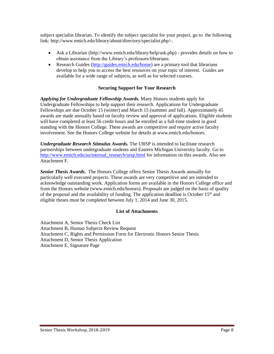subject specialist librarian. To identify the subject specialist for your project, go to the following link: http://www.emich.edu/library/about/directory/specialist.php>.

- Ask a Librarian (http://www.emich.edu/library/help/ask.php) provides details on how to obtain assistance from the Library's professors/librarians.
- Research Guides (http://guides.emich.edu/home) are a primary tool that librarians develop to help you to access the best resources on your topic of interest. Guides are available for a wide range of subjects, as well as for selected courses.

# **Securing Support for Your Research**

*Applying for Undergraduate Fellowship Awards.* Many Honors students apply for Undergraduate Fellowships to help support their research. Applications for Undergraduate Fellowships are due October 15 (winter) and March 15 (summer and fall). Approximately 45 awards are made annually based on faculty review and approval of applications. Eligible students will have completed at least 56 credit hours and be enrolled as a full-time student in good standing with the Honors College. These awards are competitive and require active faculty involvement. See the Honors College website for details at www.emich.edu/honors.

*Undergraduate Research Stimulus Awards.* The URSP is intended to facilitate research partnerships between undergraduate students and Eastern Michigan University faculty. Go to http://www.emich.edu/aa/internal\_research/ursp.html for information on this awards. Also see Attachment F.

*Senior Thesis Awards.* The Honors College offers Senior Thesis Awards annually for particularly well executed projects. These awards are very competitive and are intended to acknowledge outstanding work. Application forms are available in the Honors College office and from the Honors website (www.emich.edu/honors). Proposals are judged on the basis of quality of the proposal and the availability of funding. The application deadline is October 15<sup>th</sup> and eligible theses must be completed between July 1, 2014 and June 30, 2015.

### **List of Attachments**

Attachment A, Senior Thesis Check List Attachment B, Human Subjects Review Request Attachment C, Rights and Permission Form for Electronic Honors Senior Thesis Attachment D, Senior Thesis Application Attachment E, Signature Page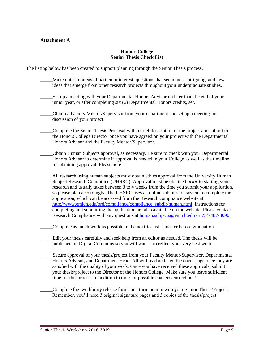# **Attachment A**

#### **Honors College Senior Thesis Check List**

The listing below has been created to support planning through the Senior Thesis process.

- \_\_\_\_\_Make notes of areas of particular interest, questions that seem most intriguing, and new ideas that emerge from other research projects throughout your undergraduate studies.
- Set up a meeting with your Departmental Honors Advisor no later than the end of your junior year, or after completing six (6) Departmental Honors credits, set.
- \_\_\_\_\_Obtain a Faculty Mentor/Supervisor from your department and set up a meeting for discussion of your project.
- \_\_\_\_\_Complete the Senior Thesis Proposal with a brief description of the project and submit to the Honors College Director once you have agreed on your project with the Departmental Honors Advisor and the Faculty Mentor/Supervisor.
- \_\_\_\_\_Obtain Human Subjects approval, as necessary. Be sure to check with your Departmental Honors Advisor to determine if approval is needed in your College as well as the timeline for obtaining approval. Please note:

All research using human subjects must obtain ethics approval from the University Human Subject Research Committee (UHSRC). Approval must be obtained *prior* to starting your research and usually takes between 3 to 4 weeks from the time you submit your application, so please plan accordingly. The UHSRC uses an online submission system to complete the application, which can be accessed from the Research compliance website at http://www.emich.edu/ord/compliance/compliance\_subdir/human.html. Instructions for completing and submitting the application are also available on the website. Please contact Research Compliance with any questions at human.subjects@emich.edu or 734-487-3090.

- Complete as much work as possible in the next-to-last semester before graduation.
- Edit your thesis carefully and seek help from an editor as needed. The thesis will be published on Digital Commons so you will want it to reflect your very best work.
- \_\_\_\_\_Secure approval of your thesis/project from your Faculty Mentor/Supervisor, Departmental Honors Advisor, and Department Head. All will read and sign the cover page once they are satisfied with the quality of your work. Once you have received these approvals, submit your thesis/project to the Director of the Honors College. Make sure you leave sufficient time for this process in addition to time for possible changes/corrections!

\_\_\_\_\_Complete the two library release forms and turn them in with your Senior Thesis/Project. Remember, you'll need 3 original signature pages and 3 copies of the thesis/project.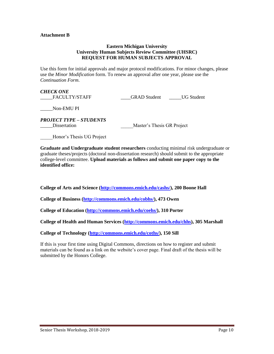#### **Attachment B**

### **Eastern Michigan University University Human Subjects Review Committee (UHSRC) REQUEST FOR HUMAN SUBJECTS APPROVAL**

Use this form for initial approvals and major protocol modifications. For minor changes, please use the *Minor Modification* form. To renew an approval after one year, please use the *Continuation Form*.

*CHECK ONE*  \_\_\_\_\_FACULTY/STAFF \_\_\_\_GRAD Student \_\_\_\_\_UG Student

\_\_\_\_\_Non-EMU PI

*PROJECT TYPE – STUDENTS*  \_\_\_\_\_Dissertation \_\_\_\_\_Master's Thesis GR Project

\_\_\_\_\_Honor's Thesis UG Project

**Graduate and Undergraduate student researchers** conducting minimal risk undergraduate or graduate theses/projects (doctoral non-dissertation research) should submit to the appropriate college-level committee. **Upload materials as follows and submit one paper copy to the identified office:**

**College of Arts and Science (http://commons.emich.edu/cashs/), 200 Boone Hall** 

**College of Business (http://commons.emich.edu/cobhs/), 473 Owen** 

**College of Education (http://commons.emich.edu/coehs/), 310 Porter** 

**College of Health and Human Services (http://commons.emich.edu/chhs), 305 Marshall** 

**College of Technology (http://commons.emich.edu/coths/), 150 Sill** 

If this is your first time using Digital Commons, directions on how to register and submit materials can be found as a link on the website's cover page. Final draft of the thesis will be submitted by the Honors College.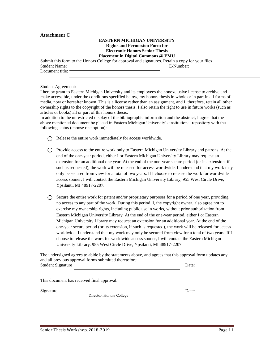#### **Attachment C**

#### **EASTERN MICHIGAN UNIVERSITY Rights and Permission Form for Electronic Honors Senior Thesis Placement in Digital Commons @ EMU**

Submit this form to the Honors College for approval and signatures. Retain a copy for your files Student Name: E-Number: Document title:

Student Agreement:

I hereby grant to Eastern Michigan University and its employees the nonexclusive license to archive and make accessible, under the conditions specified below, my honors thesis in whole or in part in all forms of media, now or hereafter known. This is a license rather than an assignment, and I, therefore, retain all other ownership rights to the copyright of the honors thesis. I also retain the right to use in future works (such as articles or books) all or part of this honors thesis.

In addition to the unrestricted display of the bibliographic information and the abstract, I agree that the above mentioned document be placed in Eastern Michigan University's institutional repository with the following status (choose one option):

- $\bigcap$  Release the entire work immediately for access worldwide.
- $\bigcap$  Provide access to the entire work only to Eastern Michigan University Library and patrons. At the end of the one-year period, either I or Eastern Michigan University Library may request an extension for an additional one year. At the end of the one-year secure period (or its extension, if such is requested), the work will be released for access worldwide. I understand that my work may only be secured from view for a total of two years. If I choose to release the work for worldwide access sooner, I will contact the Eastern Michigan University Library, 955 West Circle Drive, Ypsilanti, MI 48917-2207.
- $\bigcirc$  Secure the entire work for patent and/or proprietary purposes for a period of one year, providing no access to any part of the work. During this period, I, the copyright owner, also agree not to exercise my ownership rights, including public use in works, without prior authorization from Eastern Michigan University Library. At the end of the one-year period, either I or Eastern Michigan University Library may request an extension for an additional year. At the end of the one-year secure period (or its extension, if such is requested), the work will be released for access worldwide. I understand that my work may only be secured from view for a total of two years. If I choose to release the work for worldwide access sooner, I will contact the Eastern Michigan University Library, 955 West Circle Drive, Ypsilanti, MI 48917-2207.

The undersigned agrees to abide by the statements above, and agrees that this approval form updates any and all previous approval forms submitted theretofore. Student Signature Date:

This document has received final approval.

Signature: Date: Department of Date: Date: Date: Date: Date: Date: Date: Date: Date: Date: Date: Date: Date: D

Director, Honors College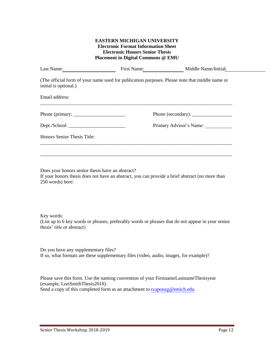# **EASTERN MICHIGAN UNIVERSITY Electronic Format Information Sheet Electronic Honors Senior Thesis Placement in Digital Commons @ EMU**

| Last Name:                  | First Name:                                                                                    | Middle Name/Initial:    |
|-----------------------------|------------------------------------------------------------------------------------------------|-------------------------|
| initial is optional.)       | (The official form of your name used for publication purposes. Please note that middle name or |                         |
| Email address:              |                                                                                                |                         |
|                             |                                                                                                |                         |
|                             |                                                                                                | Primary Advisor's Name: |
| Honors Senior Thesis Title: |                                                                                                |                         |
|                             |                                                                                                |                         |
|                             |                                                                                                |                         |

Does your honors senior thesis have an abstract? If your honors thesis does not have an abstract, you can provide a brief abstract (no more than 250 words) here:

Key words:

(List up to 6 key words or phrases, preferably words or phrases that do not appear in your senior thesis' title or abstract)

Do you have any supplementary files? If so, what formats are these supplementary files (video, audio, images, for example)?

Please save this form. Use the naming convention of your FirstnameLastnameThesisyear (example, LoriSmithThesis2018). Send a copy of this completed form as an attachment to rcaponeg@emich.edu.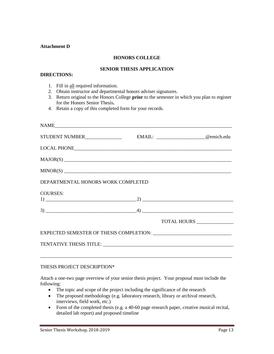#### **Attachment D**

### **HONORS COLLEGE**

# **SENIOR THESIS APPLICATION**

# **DIRECTIONS:**

- 1. Fill in all required information.
- 2. Obtain instructor and departmental honors adviser signatures.
- 3. Return original to the Honors College **prior** to the semester in which you plan to register for the Honors Senior Thesis**.**

4. Retain a copy of this completed form for your records.

| DEPARTMENTAL HONORS WORK COMPLETED |                               |
|------------------------------------|-------------------------------|
| <b>COURSES:</b>                    |                               |
|                                    |                               |
|                                    | TOTAL HOURS _________________ |
|                                    |                               |
|                                    |                               |
|                                    |                               |

#### THESIS PROJECT DESCRIPTION\*

Attach a one-two page overview of your senior thesis project. Your proposal must include the following:

- The topic and scope of the project including the significance of the research
- The proposed methodology (e.g. laboratory research, library or archival research, interviews, field work, etc.)
- Form of the completed thesis (e.g. a 40-60 page research paper, creative musical recital, detailed lab report) and proposed timeline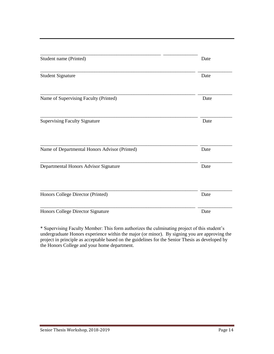| Student name (Printed)                        | Date |
|-----------------------------------------------|------|
|                                               |      |
| <b>Student Signature</b>                      | Date |
| Name of Supervising Faculty (Printed)         | Date |
| <b>Supervising Faculty Signature</b>          | Date |
| Name of Departmental Honors Advisor (Printed) | Date |
| Departmental Honors Advisor Signature         | Date |
| Honors College Director (Printed)             | Date |
| Honors College Director Signature             | Date |

\* Supervising Faculty Member: This form authorizes the culminating project of this student's undergraduate Honors experience within the major (or minor). By signing you are approving the project in principle as acceptable based on the guidelines for the Senior Thesis as developed by the Honors College and your home department.